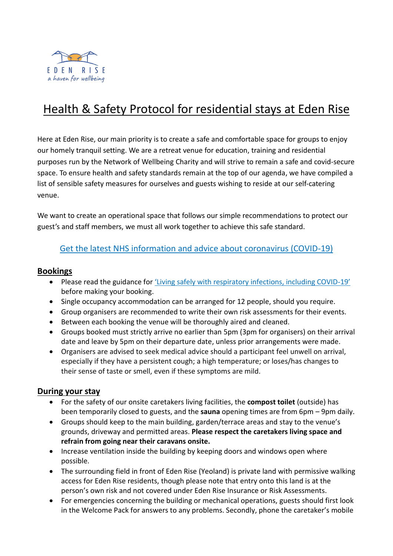

# Health & Safety Protocol for residential stays at Eden Rise

Here at Eden Rise, our main priority is to create a safe and comfortable space for groups to enjoy our homely tranquil setting. We are a retreat venue for education, training and residential purposes run by the Network of Wellbeing Charity and will strive to remain a safe and covid-secure space. To ensure health and safety standards remain at the top of our agenda, we have compiled a list of sensible safety measures for ourselves and guests wishing to reside at our self-catering venue.

We want to create an operational space that follows our simple recommendations to protect our guest's and staff members, we must all work together to achieve this safe standard.

## [Get the latest NHS information and advice about coronavirus \(COVID-19\)](https://www.nhs.uk/conditions/coronavirus-covid-19/)

#### **Bookings**

- Please read the guidance for ['Living safely with respiratory infections, including COVID](https://www.gov.uk/guidance/living-safely-with-respiratory-infections-including-covid-19)-19' before making your booking.
- Single occupancy accommodation can be arranged for 12 people, should you require.
- Group organisers are recommended to write their own risk assessments for their events.
- Between each booking the venue will be thoroughly aired and cleaned.
- Groups booked must strictly arrive no earlier than 5pm (3pm for organisers) on their arrival date and leave by 5pm on their departure date, unless prior arrangements were made.
- Organisers are advised to seek medical advice should a participant feel unwell on arrival, especially if they have a persistent cough; a high temperature; or loses/has changes to their sense of taste or smell, even if these symptoms are mild.

#### **During your stay**

- For the safety of our onsite caretakers living facilities, the **compost toilet** (outside) has been temporarily closed to guests, and the **sauna** opening times are from 6pm – 9pm daily.
- Groups should keep to the main building, garden/terrace areas and stay to the venue's grounds, driveway and permitted areas. **Please respect the caretakers living space and refrain from going near their caravans onsite.**
- Increase ventilation inside the building by keeping doors and windows open where possible.
- The surrounding field in front of Eden Rise (Yeoland) is private land with permissive walking access for Eden Rise residents, though please note that entry onto this land is at the person's own risk and not covered under Eden Rise Insurance or Risk Assessments.
- For emergencies concerning the building or mechanical operations, guests should first look in the Welcome Pack for answers to any problems. Secondly, phone the caretaker's mobile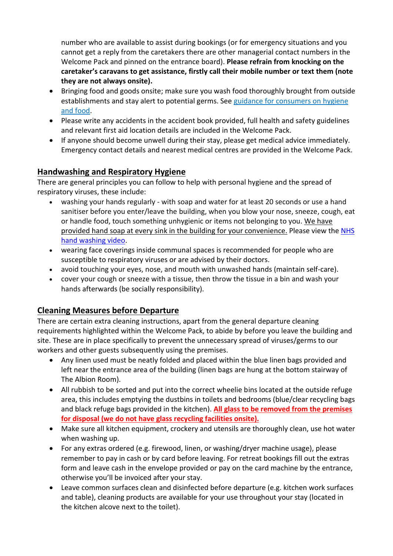number who are available to assist during bookings (or for emergency situations and you cannot get a reply from the caretakers there are other managerial contact numbers in the Welcome Pack and pinned on the entrance board). **Please refrain from knocking on the caretaker's caravans to get assistance, firstly call their mobile number or text them (note they are not always onsite).**

- Bringing food and goods onsite; make sure you wash food thoroughly brought from outside establishments and stay alert to potential germs. See [guidance for consumers on hygiene](https://www.gov.uk/government/publications/guidance-for-consumers-on-coronavirus-covid-19-and-food/guidance-for-consumers-on-coronavirus-covid-19-and-food)  [and food.](https://www.gov.uk/government/publications/guidance-for-consumers-on-coronavirus-covid-19-and-food/guidance-for-consumers-on-coronavirus-covid-19-and-food)
- Please write any accidents in the accident book provided, full health and safety guidelines and relevant first aid location details are included in the Welcome Pack.
- If anyone should become unwell during their stay, please get medical advice immediately. Emergency contact details and nearest medical centres are provided in the Welcome Pack.

# **Handwashing and Respiratory Hygiene**

There are general principles you can follow to help with personal hygiene and the spread of respiratory viruses, these include:

- washing your hands regularly with soap and water for at least 20 seconds or use a hand sanitiser before you enter/leave the building, when you blow your nose, sneeze, cough, eat or handle food, touch something unhygienic or items not belonging to you. We have provided hand soap at every sink in the building for your convenience. Please view the [NHS](https://www.nhs.uk/live-well/healthy-body/best-way-to-wash-your-hands/)  [hand washing video.](https://www.nhs.uk/live-well/healthy-body/best-way-to-wash-your-hands/)
- wearing face coverings inside communal spaces is recommended for people who are susceptible to respiratory viruses or are advised by their doctors.
- avoid touching your eyes, nose, and mouth with unwashed hands (maintain self-care).
- cover your cough or sneeze with a tissue, then throw the tissue in a bin and wash your hands afterwards (be socially responsibility).

## **Cleaning Measures before Departure**

There are certain extra cleaning instructions, apart from the general departure cleaning requirements highlighted within the Welcome Pack, to abide by before you leave the building and site. These are in place specifically to prevent the unnecessary spread of viruses/germs to our workers and other guests subsequently using the premises.

- Any linen used must be neatly folded and placed within the blue linen bags provided and left near the entrance area of the building (linen bags are hung at the bottom stairway of The Albion Room).
- All rubbish to be sorted and put into the correct wheelie bins located at the outside refuge area, this includes emptying the dustbins in toilets and bedrooms (blue/clear recycling bags and black refuge bags provided in the kitchen). **All glass to be removed from the premises for disposal (we do not have glass recycling facilities onsite).**
- Make sure all kitchen equipment, crockery and utensils are thoroughly clean, use hot water when washing up.
- For any extras ordered (e.g. firewood, linen, or washing/dryer machine usage), please remember to pay in cash or by card before leaving. For retreat bookings fill out the extras form and leave cash in the envelope provided or pay on the card machine by the entrance, otherwise you'll be invoiced after your stay.
- Leave common surfaces clean and disinfected before departure (e.g. kitchen work surfaces and table), cleaning products are available for your use throughout your stay (located in the kitchen alcove next to the toilet).